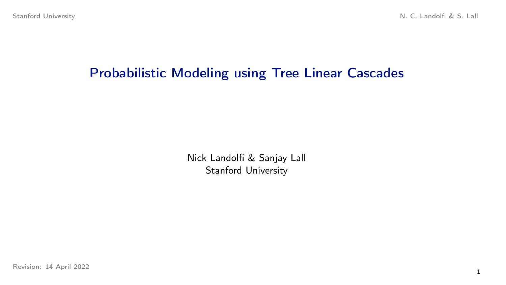# Probabilistic Modeling using Tree Linear Cascades

Nick Landolfi & Sanjay Lall Stanford University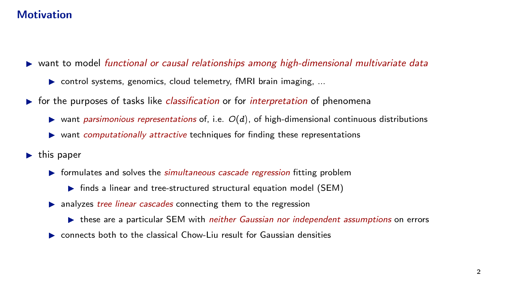## **Motivation**

- $\triangleright$  want to model functional or causal relationships among high-dimensional multivariate data
	- $\triangleright$  control systems, genomics, cloud telemetry, fMRI brain imaging, ...
- $\triangleright$  for the purposes of tasks like *classification* or for *interpretation* of phenomena
	- ightharponicular vant parsimonious representations of, i.e.  $O(d)$ , of high-dimensional continuous distributions
	- $\triangleright$  want computationally attractive techniques for finding these representations
- $\blacktriangleright$  this paper
	- $\triangleright$  formulates and solves the *simultaneous cascade regression* fitting problem
		- $\triangleright$  finds a linear and tree-structured structural equation model (SEM)
	- $\triangleright$  analyzes *tree linear cascades* connecting them to the regression
		- these are a particular SEM with *neither Gaussian nor independent assumptions* on errors
	- $\triangleright$  connects both to the classical Chow-Liu result for Gaussian densities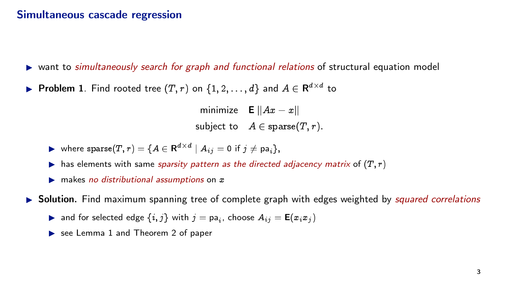#### Simultaneous cascade regression

- $\triangleright$  want to simultaneously search for graph and functional relations of structural equation model
- ▶ Problem 1. Find rooted tree  $(T, r)$  on  $\{1, 2, ..., d\}$  and  $A \in \mathbb{R}^{d \times d}$  to

minimize  $E ||Ax - x||$ subject to  $A \in \text{sparse}(T, r)$ .

- $\blacktriangleright$  where  $\texttt{sparse}(T, r) = \{A \in \mathbf{R}^{d \times d} \mid A_{ij} = 0 \text{ if } j \neq \textsf{pa}_i\},$
- ighthas elements with same sparsity pattern as the directed adjacency matrix of  $(T, r)$
- $\triangleright$  makes no distributional assumptions on  $x$

 $\triangleright$  Solution. Find maximum spanning tree of complete graph with edges weighted by *squared correlations* 

- **>** and for selected edge  $\{i, j\}$  with  $j = pa_i$ , choose  $A_{ij} = \mathbf{E}(x_i x_j)$
- $\triangleright$  see Lemma 1 and Theorem 2 of paper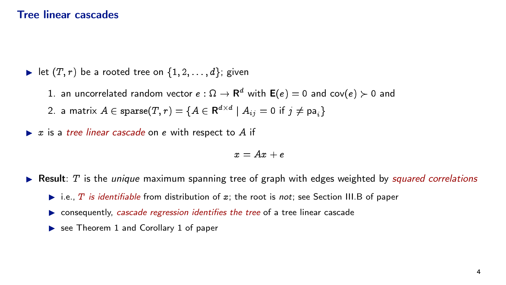#### Tree linear cascades

let  $(T, r)$  be a rooted tree on  $\{1, 2, \ldots, d\}$ ; given

1. an uncorrelated random vector  $e:\Omega\to{\sf R}^d$  with  ${\sf E}(e)=0$  and  ${\sf cov}(e)\succ 0$  and

2. a matrix  $A \in \text{sparse}(T, r) = \{A \in \mathbf{R}^{d \times d} \mid A_{ij} = 0 \text{ if } j \neq \text{pa}_i\}$ 

 $\triangleright$  x is a tree linear cascade on e with respect to A if

 $x = Ax + e$ 

- **Result:**  $T$  is the *unique* maximum spanning tree of graph with edges weighted by *squared correlations* 
	- $\blacktriangleright$  i.e., T is identifiable from distribution of x; the root is not; see Section III.B of paper
	- $\triangleright$  consequently, cascade regression identifies the tree of a tree linear cascade
	- $\triangleright$  see Theorem 1 and Corollary 1 of paper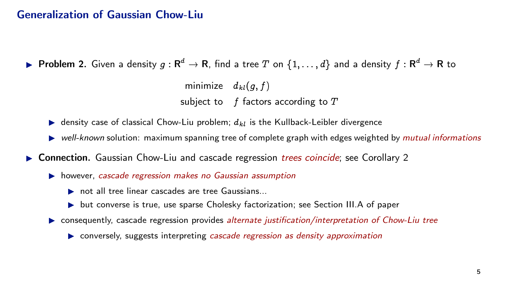#### Generalization of Gaussian Chow-Liu

 $\blacktriangleright$  Problem 2. Given a density  $g:\mathsf{R}^d\to\mathsf{R}$ , find a tree  $T$  on  $\{1,\ldots,d\}$  and a density  $f:\mathsf{R}^d\to\mathsf{R}$  to

minimize  $d_{kl}(q, f)$ subject to  $f$  factors according to  $T$ 

- **In density case of classical Chow-Liu problem;**  $d_{kl}$  is the Kullback-Leibler divergence
- $\triangleright$  well-known solution: maximum spanning tree of complete graph with edges weighted by mutual informations
- ▶ Connection. Gaussian Chow-Liu and cascade regression *trees coincide*; see Corollary 2
	- $\triangleright$  however, cascade regression makes no Gaussian assumption
		- $\triangleright$  not all tree linear cascades are tree Gaussians...
		- $\triangleright$  but converse is true, use sparse Cholesky factorization; see Section III.A of paper
	- **EXECUTE:** consequently, cascade regression provides *alternate justification/interpretation of Chow-Liu tree* 
		- $\triangleright$  conversely, suggests interpreting cascade regression as density approximation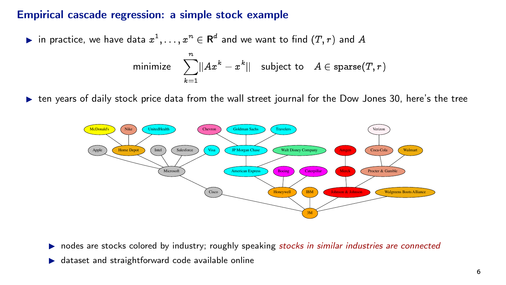### Empirical cascade regression: a simple stock example

in practice, we have data  $x^1, \ldots, x^n \in \mathsf{R}^d$  and we want to find  $(T,r)$  and  $A$ 

$$
\text{minimize} \quad \sum_{k=1}^n ||Ax^k - x^k|| \quad \text{subject to} \quad A \in \text{sparse}(T, r)
$$

 $\triangleright$  ten years of daily stock price data from the wall street journal for the Dow Jones 30, here's the tree



- $\triangleright$  nodes are stocks colored by industry; roughly speaking stocks in similar industries are connected
- $\triangleright$  dataset and straightforward code available online